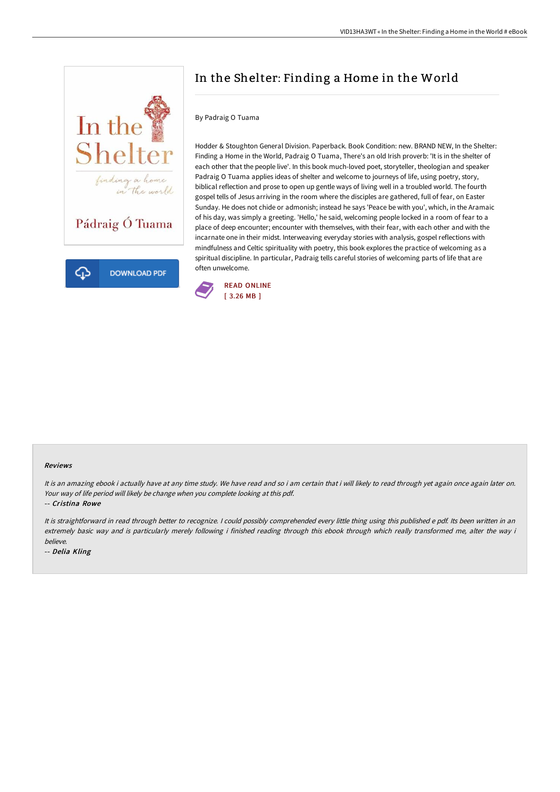

## In the Shelter: Finding a Home in the World

## By Padraig O Tuama

Hodder & Stoughton General Division. Paperback. Book Condition: new. BRAND NEW, In the Shelter: Finding a Home in the World, Padraig O Tuama, There's an old Irish proverb: 'It is in the shelter of each other that the people live'. In this book much-loved poet, storyteller, theologian and speaker Padraig O Tuama applies ideas of shelter and welcome to journeys of life, using poetry, story, biblical reflection and prose to open up gentle ways of living well in a troubled world. The fourth gospel tells of Jesus arriving in the room where the disciples are gathered, full of fear, on Easter Sunday. He does not chide or admonish; instead he says 'Peace be with you', which, in the Aramaic of his day, was simply a greeting. 'Hello,' he said, welcoming people locked in a room of fear to a place of deep encounter; encounter with themselves, with their fear, with each other and with the incarnate one in their midst. Interweaving everyday stories with analysis, gospel reflections with mindfulness and Celtic spirituality with poetry, this book explores the practice of welcoming as a spiritual discipline. In particular, Padraig tells careful stories of welcoming parts of life that are often unwelcome.



## Reviews

It is an amazing ebook i actually have at any time study. We have read and so i am certain that i will likely to read through yet again once again later on. Your way of life period will likely be change when you complete looking at this pdf.

-- Cristina Rowe

It is straightforward in read through better to recognize. I could possibly comprehended every little thing using this published e pdf. Its been written in an extremely basic way and is particularly merely following i finished reading through this ebook through which really transformed me, alter the way i believe.

-- Delia Kling